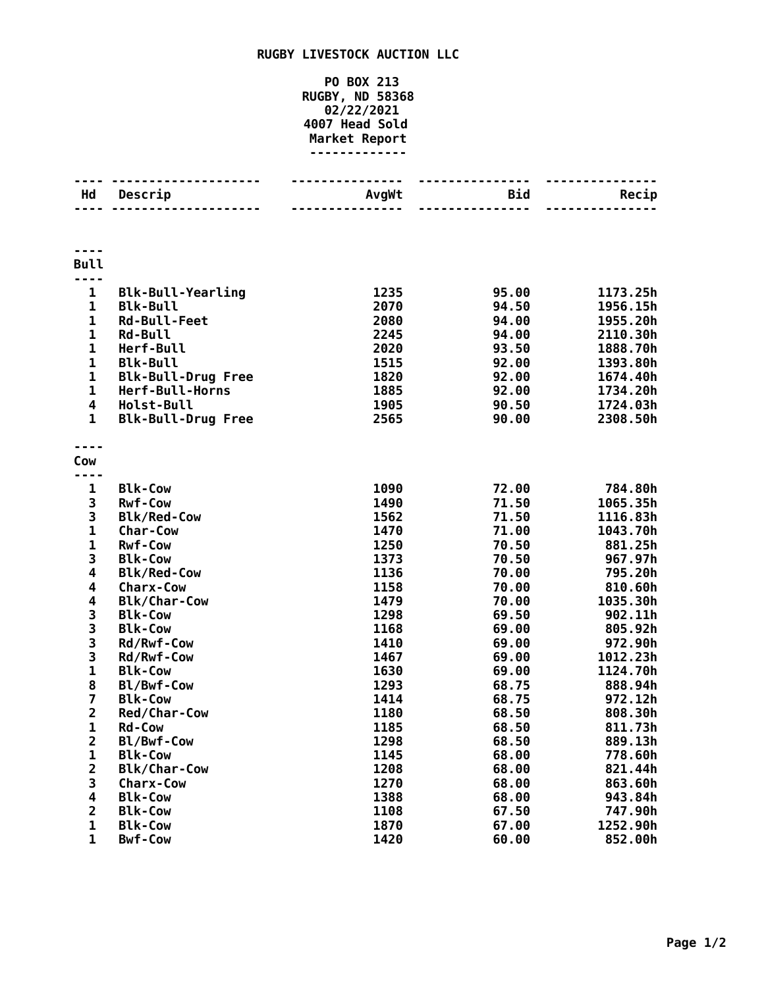## **RUGBY LIVESTOCK AUCTION LLC**

## **PO BOX 213 RUGBY, ND 58368 02/22/2021 Head Sold Market Report -------------**

| <b>Bull</b><br>$\mathbf 1$<br>1235<br>1173.25h<br><b>Blk-Bull-Yearling</b><br>95.00<br>$\mathbf{1}$<br>2070<br><b>Blk-Bull</b><br>94.50<br>1956.15h<br>$\mathbf 1$<br>2080<br>1955.20h<br><b>Rd-Bull-Feet</b><br>94.00<br>$\mathbf{1}$<br>2110.30h<br><b>Rd-Bull</b><br>2245<br>94.00<br>$\mathbf{1}$<br>2020<br>1888.70h<br>Herf-Bull<br>93.50<br>$\mathbf 1$<br>1515<br>1393.80h<br><b>Blk-Bull</b><br>92.00<br>$\mathbf{1}$<br>1820<br><b>Blk-Bull-Drug Free</b><br>92.00<br>1674.40h<br>1<br>Herf-Bull-Horns<br>1885<br>92.00<br>1734.20h<br>4<br>Holst-Bull<br>1905<br>90.50<br>1724.03h<br>$\mathbf{1}$<br>2565<br><b>Blk-Bull-Drug Free</b><br>90.00<br>2308.50h<br>Cow<br>784.80h<br><b>Blk-Cow</b><br>1090<br>72.00<br>1<br>3<br><b>Rwf-Cow</b><br>1490<br>71.50<br>1065.35h<br>3<br><b>Blk/Red-Cow</b><br>1562<br>71.50<br>1116.83h<br>$\mathbf{1}$<br>1470<br>71.00<br>1043.70h<br>Char-Cow<br>$\mathbf{1}$<br>1250<br>881.25h<br><b>Rwf-Cow</b><br>70.50<br>3<br>1373<br>967.97h<br><b>Blk-Cow</b><br>70.50<br>4<br>1136<br>795.20h<br><b>Blk/Red-Cow</b><br>70.00<br>4<br>1158<br>810.60h<br>70.00<br><b>Charx-Cow</b><br>4<br>1479<br>1035.30h<br><b>Blk/Char-Cow</b><br>70.00<br>3<br>1298<br>69.50<br>902.11h<br><b>Blk-Cow</b><br>$\begin{array}{c} 3 \\ 3 \\ 3 \end{array}$<br><b>Blk-Cow</b><br>1168<br>805.92h<br>69.00<br>1410<br>972.90h<br>Rd/Rwf-Cow<br>69.00<br>1012.23h<br>1467<br>69.00<br>Rd/Rwf-Cow<br>$\mathbf{1}$<br>1630<br>1124.70h<br><b>Blk-Cow</b><br>69.00<br>8<br>1293<br>888.94h<br>Bl/Bwf-Cow<br>68.75<br>$\overline{\mathbf{z}}$<br>1414<br>972.12h<br><b>Blk-Cow</b><br>68.75<br>$\overline{\mathbf{c}}$<br>808.30h<br>Red/Char-Cow<br>1180<br>68.50<br>1<br>1185<br>68.50<br>811.73h<br><b>Rd-Cow</b><br>$\overline{2}$<br>Bl/Bwf-Cow<br>1298<br>889.13h<br>68.50<br>1145<br>68.00<br>778.60h<br>1<br><b>Blk-Cow</b><br>$\overline{\mathbf{c}}$<br>1208<br><b>Blk/Char-Cow</b><br>68.00<br>821.44h<br>3<br>1270<br>68.00<br>863.60h<br><b>Charx-Cow</b><br>4<br><b>Blk-Cow</b><br>1388<br>68.00<br>943.84h<br>$\overline{\mathbf{c}}$<br>67.50<br>747.90h<br><b>Blk-Cow</b><br>1108<br>$\mathbf{1}$<br><b>Blk-Cow</b><br>1870<br>67.00<br>1252.90h<br>$\mathbf{1}$<br>1420<br><b>Bwf-Cow</b><br>60.00<br>852.00h | Hd | Descrip | AvgWt | Bid<br>------ | Recip |
|-------------------------------------------------------------------------------------------------------------------------------------------------------------------------------------------------------------------------------------------------------------------------------------------------------------------------------------------------------------------------------------------------------------------------------------------------------------------------------------------------------------------------------------------------------------------------------------------------------------------------------------------------------------------------------------------------------------------------------------------------------------------------------------------------------------------------------------------------------------------------------------------------------------------------------------------------------------------------------------------------------------------------------------------------------------------------------------------------------------------------------------------------------------------------------------------------------------------------------------------------------------------------------------------------------------------------------------------------------------------------------------------------------------------------------------------------------------------------------------------------------------------------------------------------------------------------------------------------------------------------------------------------------------------------------------------------------------------------------------------------------------------------------------------------------------------------------------------------------------------------------------------------------------------------------------------------------------------------------------------------------------------------------------------------------------------------------------------------------------------------------------------------------------------------------------------------------------------------------------------------------------|----|---------|-------|---------------|-------|
|                                                                                                                                                                                                                                                                                                                                                                                                                                                                                                                                                                                                                                                                                                                                                                                                                                                                                                                                                                                                                                                                                                                                                                                                                                                                                                                                                                                                                                                                                                                                                                                                                                                                                                                                                                                                                                                                                                                                                                                                                                                                                                                                                                                                                                                             |    |         |       |               |       |
|                                                                                                                                                                                                                                                                                                                                                                                                                                                                                                                                                                                                                                                                                                                                                                                                                                                                                                                                                                                                                                                                                                                                                                                                                                                                                                                                                                                                                                                                                                                                                                                                                                                                                                                                                                                                                                                                                                                                                                                                                                                                                                                                                                                                                                                             |    |         |       |               |       |
|                                                                                                                                                                                                                                                                                                                                                                                                                                                                                                                                                                                                                                                                                                                                                                                                                                                                                                                                                                                                                                                                                                                                                                                                                                                                                                                                                                                                                                                                                                                                                                                                                                                                                                                                                                                                                                                                                                                                                                                                                                                                                                                                                                                                                                                             |    |         |       |               |       |
|                                                                                                                                                                                                                                                                                                                                                                                                                                                                                                                                                                                                                                                                                                                                                                                                                                                                                                                                                                                                                                                                                                                                                                                                                                                                                                                                                                                                                                                                                                                                                                                                                                                                                                                                                                                                                                                                                                                                                                                                                                                                                                                                                                                                                                                             |    |         |       |               |       |
|                                                                                                                                                                                                                                                                                                                                                                                                                                                                                                                                                                                                                                                                                                                                                                                                                                                                                                                                                                                                                                                                                                                                                                                                                                                                                                                                                                                                                                                                                                                                                                                                                                                                                                                                                                                                                                                                                                                                                                                                                                                                                                                                                                                                                                                             |    |         |       |               |       |
|                                                                                                                                                                                                                                                                                                                                                                                                                                                                                                                                                                                                                                                                                                                                                                                                                                                                                                                                                                                                                                                                                                                                                                                                                                                                                                                                                                                                                                                                                                                                                                                                                                                                                                                                                                                                                                                                                                                                                                                                                                                                                                                                                                                                                                                             |    |         |       |               |       |
|                                                                                                                                                                                                                                                                                                                                                                                                                                                                                                                                                                                                                                                                                                                                                                                                                                                                                                                                                                                                                                                                                                                                                                                                                                                                                                                                                                                                                                                                                                                                                                                                                                                                                                                                                                                                                                                                                                                                                                                                                                                                                                                                                                                                                                                             |    |         |       |               |       |
|                                                                                                                                                                                                                                                                                                                                                                                                                                                                                                                                                                                                                                                                                                                                                                                                                                                                                                                                                                                                                                                                                                                                                                                                                                                                                                                                                                                                                                                                                                                                                                                                                                                                                                                                                                                                                                                                                                                                                                                                                                                                                                                                                                                                                                                             |    |         |       |               |       |
|                                                                                                                                                                                                                                                                                                                                                                                                                                                                                                                                                                                                                                                                                                                                                                                                                                                                                                                                                                                                                                                                                                                                                                                                                                                                                                                                                                                                                                                                                                                                                                                                                                                                                                                                                                                                                                                                                                                                                                                                                                                                                                                                                                                                                                                             |    |         |       |               |       |
|                                                                                                                                                                                                                                                                                                                                                                                                                                                                                                                                                                                                                                                                                                                                                                                                                                                                                                                                                                                                                                                                                                                                                                                                                                                                                                                                                                                                                                                                                                                                                                                                                                                                                                                                                                                                                                                                                                                                                                                                                                                                                                                                                                                                                                                             |    |         |       |               |       |
|                                                                                                                                                                                                                                                                                                                                                                                                                                                                                                                                                                                                                                                                                                                                                                                                                                                                                                                                                                                                                                                                                                                                                                                                                                                                                                                                                                                                                                                                                                                                                                                                                                                                                                                                                                                                                                                                                                                                                                                                                                                                                                                                                                                                                                                             |    |         |       |               |       |
|                                                                                                                                                                                                                                                                                                                                                                                                                                                                                                                                                                                                                                                                                                                                                                                                                                                                                                                                                                                                                                                                                                                                                                                                                                                                                                                                                                                                                                                                                                                                                                                                                                                                                                                                                                                                                                                                                                                                                                                                                                                                                                                                                                                                                                                             |    |         |       |               |       |
|                                                                                                                                                                                                                                                                                                                                                                                                                                                                                                                                                                                                                                                                                                                                                                                                                                                                                                                                                                                                                                                                                                                                                                                                                                                                                                                                                                                                                                                                                                                                                                                                                                                                                                                                                                                                                                                                                                                                                                                                                                                                                                                                                                                                                                                             |    |         |       |               |       |
|                                                                                                                                                                                                                                                                                                                                                                                                                                                                                                                                                                                                                                                                                                                                                                                                                                                                                                                                                                                                                                                                                                                                                                                                                                                                                                                                                                                                                                                                                                                                                                                                                                                                                                                                                                                                                                                                                                                                                                                                                                                                                                                                                                                                                                                             |    |         |       |               |       |
|                                                                                                                                                                                                                                                                                                                                                                                                                                                                                                                                                                                                                                                                                                                                                                                                                                                                                                                                                                                                                                                                                                                                                                                                                                                                                                                                                                                                                                                                                                                                                                                                                                                                                                                                                                                                                                                                                                                                                                                                                                                                                                                                                                                                                                                             |    |         |       |               |       |
|                                                                                                                                                                                                                                                                                                                                                                                                                                                                                                                                                                                                                                                                                                                                                                                                                                                                                                                                                                                                                                                                                                                                                                                                                                                                                                                                                                                                                                                                                                                                                                                                                                                                                                                                                                                                                                                                                                                                                                                                                                                                                                                                                                                                                                                             |    |         |       |               |       |
|                                                                                                                                                                                                                                                                                                                                                                                                                                                                                                                                                                                                                                                                                                                                                                                                                                                                                                                                                                                                                                                                                                                                                                                                                                                                                                                                                                                                                                                                                                                                                                                                                                                                                                                                                                                                                                                                                                                                                                                                                                                                                                                                                                                                                                                             |    |         |       |               |       |
|                                                                                                                                                                                                                                                                                                                                                                                                                                                                                                                                                                                                                                                                                                                                                                                                                                                                                                                                                                                                                                                                                                                                                                                                                                                                                                                                                                                                                                                                                                                                                                                                                                                                                                                                                                                                                                                                                                                                                                                                                                                                                                                                                                                                                                                             |    |         |       |               |       |
|                                                                                                                                                                                                                                                                                                                                                                                                                                                                                                                                                                                                                                                                                                                                                                                                                                                                                                                                                                                                                                                                                                                                                                                                                                                                                                                                                                                                                                                                                                                                                                                                                                                                                                                                                                                                                                                                                                                                                                                                                                                                                                                                                                                                                                                             |    |         |       |               |       |
|                                                                                                                                                                                                                                                                                                                                                                                                                                                                                                                                                                                                                                                                                                                                                                                                                                                                                                                                                                                                                                                                                                                                                                                                                                                                                                                                                                                                                                                                                                                                                                                                                                                                                                                                                                                                                                                                                                                                                                                                                                                                                                                                                                                                                                                             |    |         |       |               |       |
|                                                                                                                                                                                                                                                                                                                                                                                                                                                                                                                                                                                                                                                                                                                                                                                                                                                                                                                                                                                                                                                                                                                                                                                                                                                                                                                                                                                                                                                                                                                                                                                                                                                                                                                                                                                                                                                                                                                                                                                                                                                                                                                                                                                                                                                             |    |         |       |               |       |
|                                                                                                                                                                                                                                                                                                                                                                                                                                                                                                                                                                                                                                                                                                                                                                                                                                                                                                                                                                                                                                                                                                                                                                                                                                                                                                                                                                                                                                                                                                                                                                                                                                                                                                                                                                                                                                                                                                                                                                                                                                                                                                                                                                                                                                                             |    |         |       |               |       |
|                                                                                                                                                                                                                                                                                                                                                                                                                                                                                                                                                                                                                                                                                                                                                                                                                                                                                                                                                                                                                                                                                                                                                                                                                                                                                                                                                                                                                                                                                                                                                                                                                                                                                                                                                                                                                                                                                                                                                                                                                                                                                                                                                                                                                                                             |    |         |       |               |       |
|                                                                                                                                                                                                                                                                                                                                                                                                                                                                                                                                                                                                                                                                                                                                                                                                                                                                                                                                                                                                                                                                                                                                                                                                                                                                                                                                                                                                                                                                                                                                                                                                                                                                                                                                                                                                                                                                                                                                                                                                                                                                                                                                                                                                                                                             |    |         |       |               |       |
|                                                                                                                                                                                                                                                                                                                                                                                                                                                                                                                                                                                                                                                                                                                                                                                                                                                                                                                                                                                                                                                                                                                                                                                                                                                                                                                                                                                                                                                                                                                                                                                                                                                                                                                                                                                                                                                                                                                                                                                                                                                                                                                                                                                                                                                             |    |         |       |               |       |
|                                                                                                                                                                                                                                                                                                                                                                                                                                                                                                                                                                                                                                                                                                                                                                                                                                                                                                                                                                                                                                                                                                                                                                                                                                                                                                                                                                                                                                                                                                                                                                                                                                                                                                                                                                                                                                                                                                                                                                                                                                                                                                                                                                                                                                                             |    |         |       |               |       |
|                                                                                                                                                                                                                                                                                                                                                                                                                                                                                                                                                                                                                                                                                                                                                                                                                                                                                                                                                                                                                                                                                                                                                                                                                                                                                                                                                                                                                                                                                                                                                                                                                                                                                                                                                                                                                                                                                                                                                                                                                                                                                                                                                                                                                                                             |    |         |       |               |       |
|                                                                                                                                                                                                                                                                                                                                                                                                                                                                                                                                                                                                                                                                                                                                                                                                                                                                                                                                                                                                                                                                                                                                                                                                                                                                                                                                                                                                                                                                                                                                                                                                                                                                                                                                                                                                                                                                                                                                                                                                                                                                                                                                                                                                                                                             |    |         |       |               |       |
|                                                                                                                                                                                                                                                                                                                                                                                                                                                                                                                                                                                                                                                                                                                                                                                                                                                                                                                                                                                                                                                                                                                                                                                                                                                                                                                                                                                                                                                                                                                                                                                                                                                                                                                                                                                                                                                                                                                                                                                                                                                                                                                                                                                                                                                             |    |         |       |               |       |
|                                                                                                                                                                                                                                                                                                                                                                                                                                                                                                                                                                                                                                                                                                                                                                                                                                                                                                                                                                                                                                                                                                                                                                                                                                                                                                                                                                                                                                                                                                                                                                                                                                                                                                                                                                                                                                                                                                                                                                                                                                                                                                                                                                                                                                                             |    |         |       |               |       |
|                                                                                                                                                                                                                                                                                                                                                                                                                                                                                                                                                                                                                                                                                                                                                                                                                                                                                                                                                                                                                                                                                                                                                                                                                                                                                                                                                                                                                                                                                                                                                                                                                                                                                                                                                                                                                                                                                                                                                                                                                                                                                                                                                                                                                                                             |    |         |       |               |       |
|                                                                                                                                                                                                                                                                                                                                                                                                                                                                                                                                                                                                                                                                                                                                                                                                                                                                                                                                                                                                                                                                                                                                                                                                                                                                                                                                                                                                                                                                                                                                                                                                                                                                                                                                                                                                                                                                                                                                                                                                                                                                                                                                                                                                                                                             |    |         |       |               |       |
|                                                                                                                                                                                                                                                                                                                                                                                                                                                                                                                                                                                                                                                                                                                                                                                                                                                                                                                                                                                                                                                                                                                                                                                                                                                                                                                                                                                                                                                                                                                                                                                                                                                                                                                                                                                                                                                                                                                                                                                                                                                                                                                                                                                                                                                             |    |         |       |               |       |
|                                                                                                                                                                                                                                                                                                                                                                                                                                                                                                                                                                                                                                                                                                                                                                                                                                                                                                                                                                                                                                                                                                                                                                                                                                                                                                                                                                                                                                                                                                                                                                                                                                                                                                                                                                                                                                                                                                                                                                                                                                                                                                                                                                                                                                                             |    |         |       |               |       |
|                                                                                                                                                                                                                                                                                                                                                                                                                                                                                                                                                                                                                                                                                                                                                                                                                                                                                                                                                                                                                                                                                                                                                                                                                                                                                                                                                                                                                                                                                                                                                                                                                                                                                                                                                                                                                                                                                                                                                                                                                                                                                                                                                                                                                                                             |    |         |       |               |       |
|                                                                                                                                                                                                                                                                                                                                                                                                                                                                                                                                                                                                                                                                                                                                                                                                                                                                                                                                                                                                                                                                                                                                                                                                                                                                                                                                                                                                                                                                                                                                                                                                                                                                                                                                                                                                                                                                                                                                                                                                                                                                                                                                                                                                                                                             |    |         |       |               |       |
|                                                                                                                                                                                                                                                                                                                                                                                                                                                                                                                                                                                                                                                                                                                                                                                                                                                                                                                                                                                                                                                                                                                                                                                                                                                                                                                                                                                                                                                                                                                                                                                                                                                                                                                                                                                                                                                                                                                                                                                                                                                                                                                                                                                                                                                             |    |         |       |               |       |